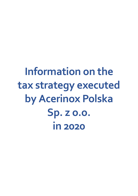**Information on the tax strategy executed by Acerinox Polska Sp. z o.o. in 2020**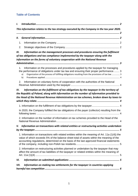# **Table of Contents**

| I.   |                                                                                                                                                                                                                                                                                                 |
|------|-------------------------------------------------------------------------------------------------------------------------------------------------------------------------------------------------------------------------------------------------------------------------------------------------|
|      | This information relates to the tax strategy executed by the Company in the tax year 2020.                                                                                                                                                                                                      |
| П.   |                                                                                                                                                                                                                                                                                                 |
|      | 1.                                                                                                                                                                                                                                                                                              |
|      | 2.                                                                                                                                                                                                                                                                                              |
| Ш.   | Information on the management processes and procedures ensuring the fulfilment<br>of tax obligations and tax compliance implemented by the taxpayer along with the<br>information on the forms of voluntary cooperation with the National Revenue                                               |
|      | Information on the processes and procedures applied by the taxpayer for managing<br>1.<br>the performance of obligations under tax law and ensuring their proper performance 3<br>Organization of the process of fulfilling obligations resulting from the provisions of tax law  3<br>a)<br>b) |
|      | Information on voluntary forms of cooperation with the authorities of the National<br>2.                                                                                                                                                                                                        |
|      | the Republic of Poland, along with information on the number of information provided to<br>the Head of the National Revenue Administration on tax schemes, broken down by taxes to                                                                                                              |
|      |                                                                                                                                                                                                                                                                                                 |
|      | In 2020, the Company fulfilled the tax obligations of the payer (collector) resulting from the                                                                                                                                                                                                  |
|      | 2. Information on the number of information on tax schemes provided to the Head of the                                                                                                                                                                                                          |
|      | V. Information on transactions with related entities or restructuring activities undertaken                                                                                                                                                                                                     |
|      | 1. Information on transactions with related entities within the meaning of Art. 11a (1(4)) the<br>value of which exceeds 5% of the balance sheet total of assets within the meaning of the<br>accounting regulations, determined on the basis of the last approved financial statements         |
|      | 2. Information on restructuring activities planned or undertaken by the taxpayer that may<br>affect the amount of tax liabilities of the taxpayer or related entities within the meaning of                                                                                                     |
| VI.  |                                                                                                                                                                                                                                                                                                 |
| VII. | Information on making tax settlements for the taxpayer in countries applying                                                                                                                                                                                                                    |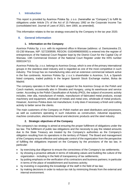# <span id="page-2-0"></span>**I. Introduction**

This report is provided by Acerinox Polska Sp. z o.o. (hereinafter as "Company") to fulfill its obligations under Article 27c of the Act of 15 February 1992 on the Corporate Income Tax (consolidated text: Journal of Laws of 2021, item 1800, as amended).

<span id="page-2-1"></span>This information relates to the tax strategy executed by the Company in the tax year 2020.

## <span id="page-2-2"></span>**II. General information**

#### **1. Information on the Company**

<span id="page-2-3"></span>Acerinox Polska Sp. z o.o. with its registered office in Warsaw (address: ul. Daniszewska 23, 03-230 Warsaw, NIP: 5272309599, REGON: 01634996000000) is entered into the register of entrepreneurs of the National Court Register kept by the District Court for the Capital City of Warsaw, 13th Commercial Division of the National Court Register under the KRS number 0000104713.

Acerinox Polska Sp. z o.o. belongs to Acerinox Group, which is one of the primary international groups in the stainless-steel industry and is regarded as one of the most competitive in such industry. The Group has six manufacturing sites and an extensive commercial network active in the five continents. Acerinox Polska Sp. z o.o.'s shareholder is Acerinox, S.A, a Spanish listed company, traded publicly in the largest Spanish Stock Exchange market, Bolsa de Madrid.

The company operates in the field of sales support for the Acerinox Group on the Polish and Czech markets, occasionally also in Slovakia and Hungary, using its warehouse and service center. According to the Polish Classification of Activity (PKD), the subject of economic activity includes, inter alia, manufacture of metals, manufacture of fabricated metal products, except machinery and equipment, wholesale of metals and metal ores, wholesale of metal products. However, Acerinox Polska does not manufacture; it only does if necessary a finish and cutting activity to better serve the clients.

The main customers of the Company on Polish market are steel distributors and processors, as well as customers operating in such industries as construction, industrial equipment, machine construction, electromechanical and electronic products and the steel industry.

#### **2. Strategic objectives of the Company**

<span id="page-2-4"></span>The company's tax strategy is aimed at ensuring the proper fulfillment of obligations under the tax law. The fulfillment of public law obligations and the necessity to pay the related amounts due to the State Treasury are treated by the Company's authorities as the Company's obligation resulting from its operations in the territory of Poland. The Board and management of the Company ensure effective and adequate control of the organization from the perspective of fulfilling the obligations imposed on the Company by the provisions of the tax law, in particular:

- by exercising due diligence to ensure the correctness of the Company's tax settlements;
- by showing a proactive attitude in terms of indicating values and building the culture of the organization - including in the field of transparency of tax settlements;
- by putting emphasis on the verification of its contractors and business partners; in particular in terms of the place of establishment and business activity;
- by investing in expanding the knowledge of the staff in the field of tax law;
- by making decisions in order to reduce tax risk by minimizing threats from the external and internal environment.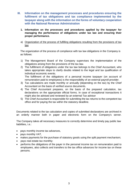- <span id="page-3-1"></span><span id="page-3-0"></span>**III. Information on the management processes and procedures ensuring the fulfilment of tax obligations and tax compliance implemented by the taxpayer along with the information on the forms of voluntary cooperation with the National Revenue Administration** 
	- **1. Information on the processes and procedures applied by the taxpayer for managing the performance of obligations under tax law and ensuring their proper performance.**
	- a) Organization of the process of fulfilling obligations resulting from the provisions of tax law

<span id="page-3-2"></span>The organization of the process of compliance with tax law obligations in the Company is as follows:

- 1) The Management Board of the Company supervises the implementation of the obligations arising from the provisions of the tax law.
- 2) The fulfillment of obligations under the tax law belongs to the Chief Accountant, who takes appropriate steps to clarify doubts related to the legal and tax qualification of individual economic events.

The fulfillment of the obligations of a personal income taxpayer (on account of remuneration paid to employees) is the responsibility of an external payroll provider.

- 3) Tax calculations are made monthly or annually (depending on the tax) by the Chief Accountant on the basis of verified source documents.
- 4) The Chief Accountant prepares, on the basis of the prepared calculation, tax declarations on the appropriate official forms. In case of exceptional transactions it might also be advised and reviewed by an external Tax advisor
- 5) The Chief Accountant is responsible for submitting the tax returns to the competent tax office and for paying the tax within the statutory deadline.

Documents related to the tax calculation and copies of submitted declarations are archived in an orderly manner both in paper and electronic form on the Company's server.

The Company takes all necessary measures to correctly determine and timely pay public law liabilities, i.e.:

- pays monthly income tax advances,
- pays monthly VAT.
- makes payments for the purchase of statutory goods using the split payment mechanism;
- pays real estate tax monthly;
- performs the obligations of the payer in the personal income tax on remuneration paid to employees, also collects and transfers to the tax office advances for income tax on these persons.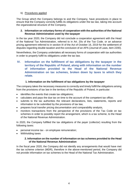#### <span id="page-4-0"></span>b) Procedures applied

The Group which the Company belongs to and the Company, have procedures in place to ensure that the Company correctly fulfills its obligations under the tax law, taking into account the organizational structure of the Company.

#### <span id="page-4-1"></span>**2. Information on voluntary forms of cooperation with the authorities of the National Revenue Administration used by the taxpayer**

In the tax year 2020, the Company did not conclude a cooperation agreement with the Head of the National Tax Administration, referred to in Art. 20s of the Tax Code. or an advance pricing agreement referred to in section III of the Act of October 16, 2019 for the settlement of disputes regarding double taxation and the conclusion of an APA (Journal of Laws, item 2200).

Nevertheless, the Company undertakes all necessary forms of cooperation with tax authorities in order to properly fulfill its obligations under the tax law.

## <span id="page-4-2"></span>**IV. Information on the fulfillment of tax obligations by the taxpayer in the territory of the Republic of Poland, along with information on the number of information provided to the Head of the National Revenue Administration on tax schemes, broken down by taxes to which they relate.**

#### <span id="page-4-3"></span>**1. Information on the fulfillment of tax obligations by the taxpayer**

The company takes the necessary measures to correctly and timely fulfill the obligations arising from the provisions of tax law in the territory of the Republic of Poland, in particular:

- identifies the events that create tax obligations;
- calculates and pays the due tax on time to the account of the competent tax office;
- submits to the tax authorities the relevant declarations, lists, statements, reports and information to be submitted by the provisions of tax law,
- prepares local transfer pricing documentation and comparability analysis,
- monitors transactions from the perspective of the provisions of the Tax Code on tax schemes in order to possibly report the arrangement, which is a tax scheme, to the Head of the National Revenue Administration.

<span id="page-4-4"></span>In 2020, the Company fulfilled the tax obligations of the payer (collector) resulting from the following taxes:

- personal income tax on employee remuneration;
- <span id="page-4-5"></span>Withholding taxes

#### **2. Information on the number of information on tax schemes provided to the Head of the National Revenue Administration**

In the fiscal year 2020, the Company did not identify any arrangements that would have met the tax scheme criterion (MDR), therefore in the above-mentioned period, the Company did not provide information on tax schemes to the Head of the National Tax Administration.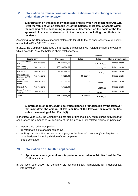### <span id="page-5-0"></span>**V. Information on transactions with related entities or restructuring activities undertaken by the taxpayer**

<span id="page-5-1"></span>**1. Information on transactions with related entities within the meaning of Art. 11a (1(4)) the value of which exceeds 5% of the balance sheet total of assets within the meaning of the accounting regulations, determined on the basis of the last approved financial statements of the company, including non-Polish tax residents**

According to the Company's financial statements for 2020, the balance sheet total of assets amounted to PLN 166,023 thousand.

In 2020, the Company concluded the following transactions with related entities, the value of which exceeds 5% of the balance sheet total of assets:

|                                   |              | Goods           |              | <b>Services</b> |                        |
|-----------------------------------|--------------|-----------------|--------------|-----------------|------------------------|
| Counterparty                      |              | <b>Purchase</b> | <b>Sales</b> | <b>Sales</b>    | Nature of relationship |
| Acerinox Europa,<br>S.A.U.        | Non-resident | 211 382 459,00  |              | 1 315 040,00    | Indirect capital       |
| Columbus<br>Stainless Pty Ltd.    | Non-resident | 135 140 364.00  |              | 222 176,00      | Indirect capital       |
| Roldan, S.A.                      | Non-resident | 22 961 546,00   |              | 8 103,00        | Indirect capital       |
| Inoxidables de<br>Euskadi, S.A.U. | Non-resident | 843 916,00      | 39 065,00    |                 | Indirect capital       |
| Acerinox<br>Deutschland<br>Gmbh   | Non-resident | 811 023,00      |              | 35 896,00       | Indirect capital       |
| Inoxfil, S.A.                     | Non-resident | 310 781,00      |              | 16 200,00       | Indirect capital       |
| Bahru Stainless,<br>Sdn. Bhd.     | Non-resident |                 |              | 462 693,00      | Indirect capital       |
| Total:                            |              | 371 450 090,00  | 39 065,00    | 2 060 108,00    |                        |

#### <span id="page-5-2"></span>**2. Information on restructuring activities planned or undertaken by the taxpayer that may affect the amount of tax liabilities of the taxpayer or related entities within the meaning of Art. 11a (1)(4)**

In the fiscal year 2020, the Company did not plan or undertake any restructuring activities that could affect the amount of tax liabilities of the Company or its related entities, in particular:

- mergers with other companies:
- transformation into another company;
- making a contribution to another company in the form of a company's enterprise or its organized part (including division of the company);
- share exchange.

#### <span id="page-5-3"></span>**VI. Information on submitted applications**

- **1. Applications for a general tax interpretation referred to in Art. 14a (1) of the Tax Ordinance Act.**
- In the fiscal year 2020, the Company did not submit any applications for a general tax interpretation.